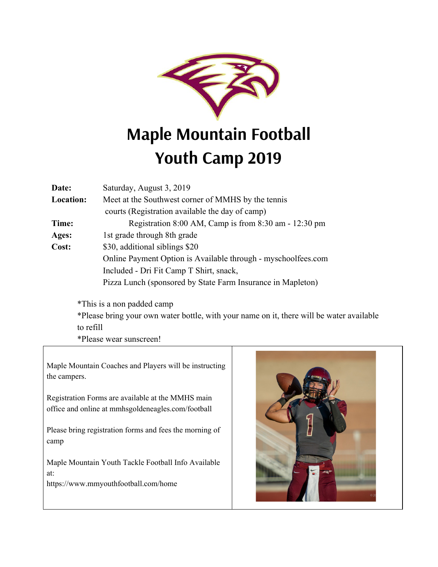

## **Maple Mountain Football Youth Camp 2019**

| Date:            | Saturday, August 3, 2019                                      |  |  |  |  |
|------------------|---------------------------------------------------------------|--|--|--|--|
| <b>Location:</b> | Meet at the Southwest corner of MMHS by the tennis            |  |  |  |  |
|                  | courts (Registration available the day of camp)               |  |  |  |  |
| Time:            | Registration 8:00 AM, Camp is from 8:30 am - 12:30 pm         |  |  |  |  |
| Ages:            | 1st grade through 8th grade                                   |  |  |  |  |
| Cost:            | \$30, additional siblings \$20                                |  |  |  |  |
|                  | Online Payment Option is Available through - myschoolfees.com |  |  |  |  |
|                  | Included - Dri Fit Camp T Shirt, snack,                       |  |  |  |  |
|                  | Pizza Lunch (sponsored by State Farm Insurance in Mapleton)   |  |  |  |  |

\*This is a non padded camp

\*Please bring your own water bottle, with your name on it, there will be water available to refill

\*Please wear sunscreen!

Maple Mountain Coaches and Players will be instructing the campers.

Registration Forms are available at the MMHS main office and online at mmhsgoldeneagles.com/football

Please bring registration forms and fees the morning of camp

Maple Mountain Youth Tackle Football Info Available at:

https://www.mmyouthfootball.com/home